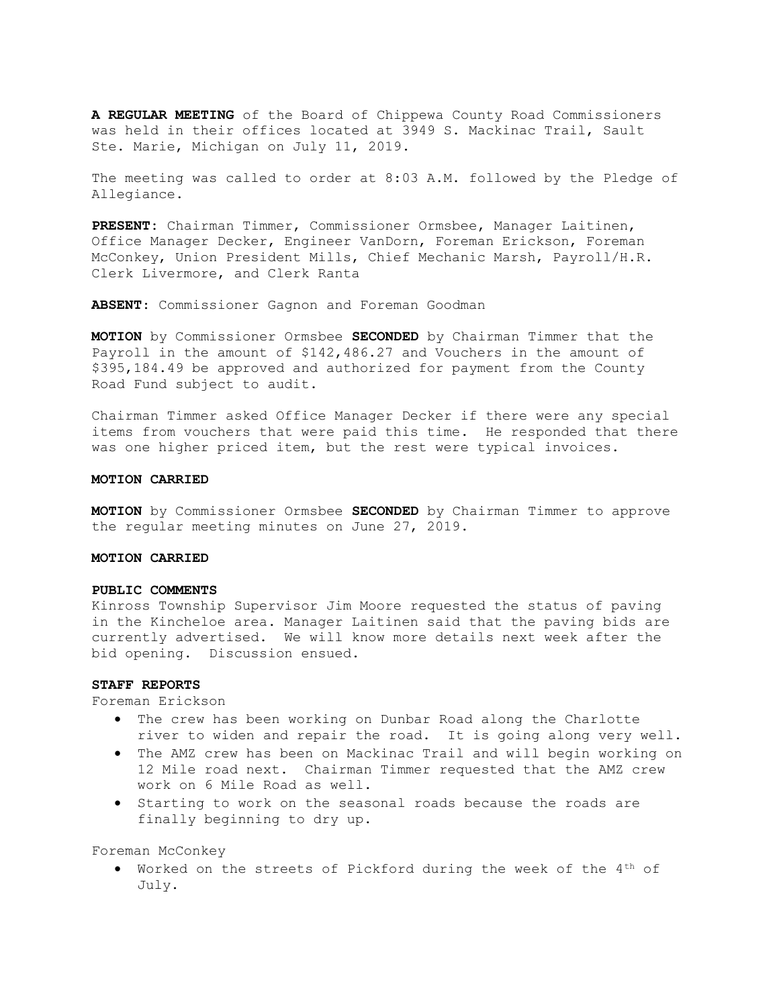A REGULAR MEETING of the Board of Chippewa County Road Commissioners was held in their offices located at 3949 S. Mackinac Trail, Sault Ste. Marie, Michigan on July 11, 2019.

The meeting was called to order at 8:03 A.M. followed by the Pledge of Allegiance.

PRESENT: Chairman Timmer, Commissioner Ormsbee, Manager Laitinen, Office Manager Decker, Engineer VanDorn, Foreman Erickson, Foreman McConkey, Union President Mills, Chief Mechanic Marsh, Payroll/H.R. Clerk Livermore, and Clerk Ranta

ABSENT: Commissioner Gagnon and Foreman Goodman

MOTION by Commissioner Ormsbee SECONDED by Chairman Timmer that the Payroll in the amount of \$142,486.27 and Vouchers in the amount of \$395,184.49 be approved and authorized for payment from the County Road Fund subject to audit.

Chairman Timmer asked Office Manager Decker if there were any special items from vouchers that were paid this time. He responded that there was one higher priced item, but the rest were typical invoices.

#### MOTION CARRIED

MOTION by Commissioner Ormsbee SECONDED by Chairman Timmer to approve the regular meeting minutes on June 27, 2019.

#### MOTION CARRIED

#### PUBLIC COMMENTS

Kinross Township Supervisor Jim Moore requested the status of paving in the Kincheloe area. Manager Laitinen said that the paving bids are currently advertised. We will know more details next week after the bid opening. Discussion ensued.

# STAFF REPORTS

Foreman Erickson

- The crew has been working on Dunbar Road along the Charlotte river to widen and repair the road. It is going along very well.
- The AMZ crew has been on Mackinac Trail and will begin working on 12 Mile road next. Chairman Timmer requested that the AMZ crew work on 6 Mile Road as well.
- Starting to work on the seasonal roads because the roads are finally beginning to dry up.

Foreman McConkey

 Worked on the streets of Pickford during the week of the 4th of July.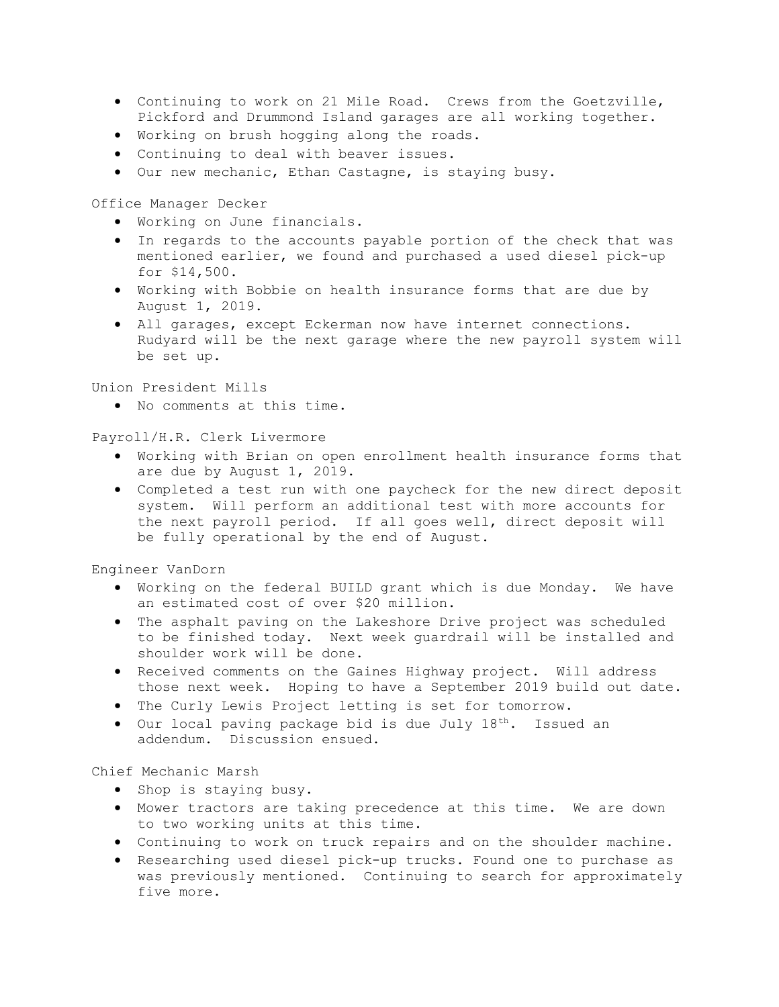- Continuing to work on 21 Mile Road. Crews from the Goetzville, Pickford and Drummond Island garages are all working together.
- Working on brush hogging along the roads.
- Continuing to deal with beaver issues.
- Our new mechanic, Ethan Castagne, is staying busy.

Office Manager Decker

- Working on June financials.
- In regards to the accounts payable portion of the check that was mentioned earlier, we found and purchased a used diesel pick-up for \$14,500.
- Working with Bobbie on health insurance forms that are due by August 1, 2019.
- All garages, except Eckerman now have internet connections. Rudyard will be the next garage where the new payroll system will be set up.

Union President Mills

No comments at this time.

Payroll/H.R. Clerk Livermore

- Working with Brian on open enrollment health insurance forms that are due by August 1, 2019.
- Completed a test run with one paycheck for the new direct deposit system. Will perform an additional test with more accounts for the next payroll period. If all goes well, direct deposit will be fully operational by the end of August.

Engineer VanDorn

- Working on the federal BUILD grant which is due Monday. We have an estimated cost of over \$20 million.
- The asphalt paving on the Lakeshore Drive project was scheduled to be finished today. Next week guardrail will be installed and shoulder work will be done.
- Received comments on the Gaines Highway project. Will address those next week. Hoping to have a September 2019 build out date.
- The Curly Lewis Project letting is set for tomorrow.
- $\bullet$  Our local paving package bid is due July  $18^{th}$ . Issued an addendum. Discussion ensued.

Chief Mechanic Marsh

- Shop is staying busy.
- Mower tractors are taking precedence at this time. We are down to two working units at this time.
- Continuing to work on truck repairs and on the shoulder machine.
- Researching used diesel pick-up trucks. Found one to purchase as was previously mentioned. Continuing to search for approximately five more.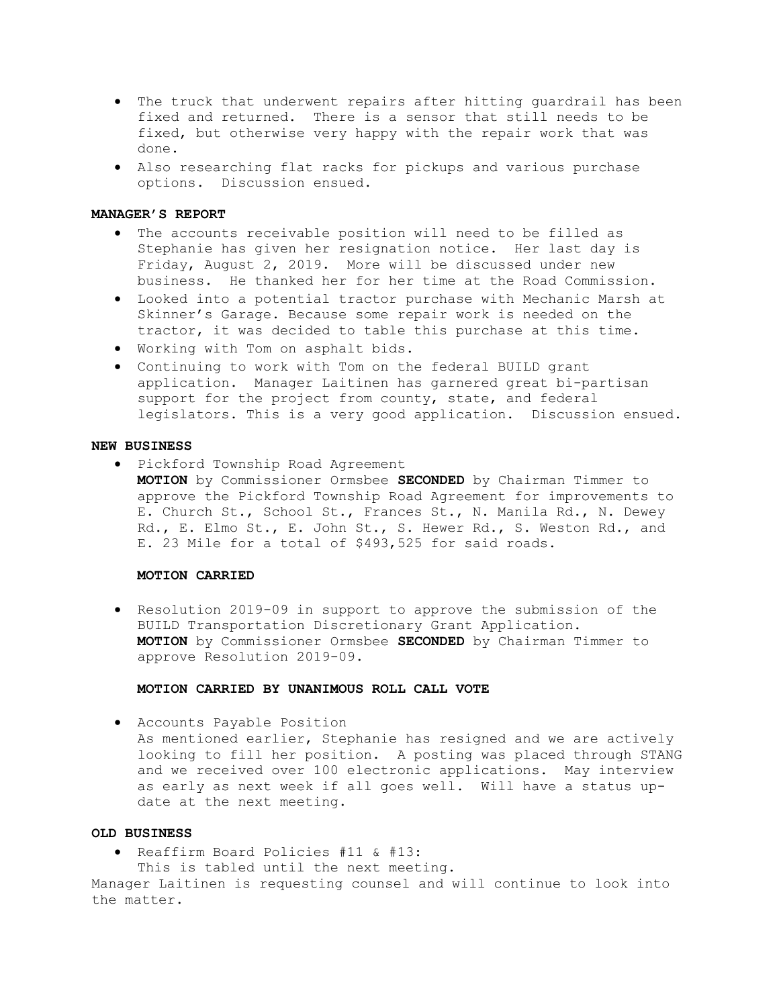- The truck that underwent repairs after hitting guardrail has been fixed and returned. There is a sensor that still needs to be fixed, but otherwise very happy with the repair work that was done.
- Also researching flat racks for pickups and various purchase options. Discussion ensued.

### MANAGER'S REPORT

- The accounts receivable position will need to be filled as Stephanie has given her resignation notice. Her last day is Friday, August 2, 2019. More will be discussed under new business. He thanked her for her time at the Road Commission.
- Looked into a potential tractor purchase with Mechanic Marsh at Skinner's Garage. Because some repair work is needed on the tractor, it was decided to table this purchase at this time.
- Working with Tom on asphalt bids.
- Continuing to work with Tom on the federal BUILD grant application. Manager Laitinen has garnered great bi-partisan support for the project from county, state, and federal legislators. This is a very good application. Discussion ensued.

## NEW BUSINESS

- Pickford Township Road Agreement
	- MOTION by Commissioner Ormsbee SECONDED by Chairman Timmer to approve the Pickford Township Road Agreement for improvements to E. Church St., School St., Frances St., N. Manila Rd., N. Dewey Rd., E. Elmo St., E. John St., S. Hewer Rd., S. Weston Rd., and E. 23 Mile for a total of \$493,525 for said roads.

#### MOTION CARRIED

• Resolution 2019-09 in support to approve the submission of the BUILD Transportation Discretionary Grant Application. MOTION by Commissioner Ormsbee SECONDED by Chairman Timmer to approve Resolution 2019-09.

## MOTION CARRIED BY UNANIMOUS ROLL CALL VOTE

Accounts Payable Position

As mentioned earlier, Stephanie has resigned and we are actively looking to fill her position. A posting was placed through STANG and we received over 100 electronic applications. May interview as early as next week if all goes well. Will have a status update at the next meeting.

### OLD BUSINESS

Reaffirm Board Policies #11 & #13:

This is tabled until the next meeting.

Manager Laitinen is requesting counsel and will continue to look into the matter.